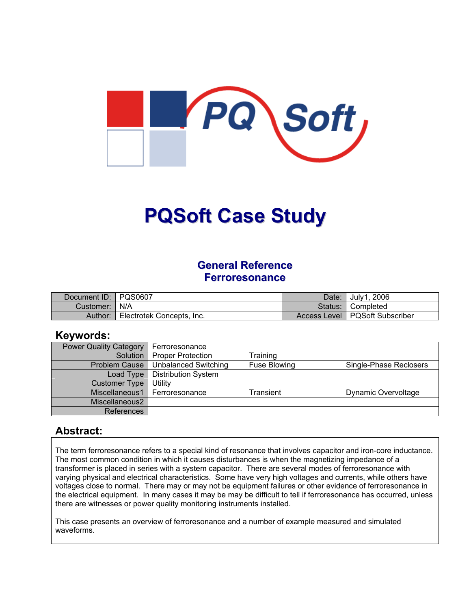

# **PQSoft Case Study**

### **General Reference Ferroresonance**

| Document ID:   PQS0607 |                           | Date: July1, 2006                |
|------------------------|---------------------------|----------------------------------|
| Customer:   N/A        |                           | Status: Completed                |
| Author:                | Electrotek Concepts, Inc. | Access Level   PQSoft Subscriber |

#### **Keywords:**

| <b>Power Quality Category</b> | Ferroresonance              |                     |                        |
|-------------------------------|-----------------------------|---------------------|------------------------|
| Solution                      | <b>Proper Protection</b>    | Training            |                        |
| <b>Problem Cause</b>          | <b>Unbalanced Switching</b> | <b>Fuse Blowing</b> | Single-Phase Reclosers |
| Load Type                     | <b>Distribution System</b>  |                     |                        |
| <b>Customer Type</b>          | Utility                     |                     |                        |
| Miscellaneous1                | Ferroresonance              | Transient           | Dynamic Overvoltage    |
| Miscellaneous2                |                             |                     |                        |
| References                    |                             |                     |                        |

#### **Abstract:**

The term ferroresonance refers to a special kind of resonance that involves capacitor and iron-core inductance. The most common condition in which it causes disturbances is when the magnetizing impedance of a transformer is placed in series with a system capacitor. There are several modes of ferroresonance with varying physical and electrical characteristics. Some have very high voltages and currents, while others have voltages close to normal. There may or may not be equipment failures or other evidence of ferroresonance in the electrical equipment. In many cases it may be may be difficult to tell if ferroresonance has occurred, unless there are witnesses or power quality monitoring instruments installed.

This case presents an overview of ferroresonance and a number of example measured and simulated waveforms.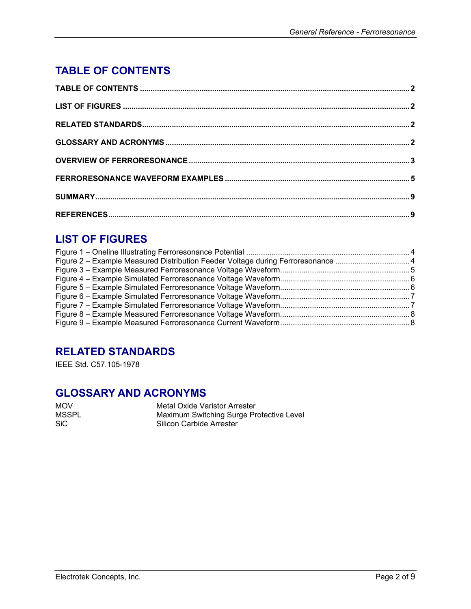# <span id="page-1-0"></span>**TABLE OF CONTENTS**

# **LIST OF FIGURES**

| Figure 2 - Example Measured Distribution Feeder Voltage during Ferroresonance 4 |  |
|---------------------------------------------------------------------------------|--|
|                                                                                 |  |
|                                                                                 |  |
|                                                                                 |  |
|                                                                                 |  |
|                                                                                 |  |
|                                                                                 |  |
|                                                                                 |  |
|                                                                                 |  |

# **RELATED STANDARDS**

IEEE Std. C57.105-1978

## **GLOSSARY AND ACRONYMS**

MOV Metal Oxide Varistor Arrester<br>MSSPL Maximum Switching Surge Pre MSSPL Maximum Switching Surge Protective Level<br>SiC SiC Silicon Carbide Arrester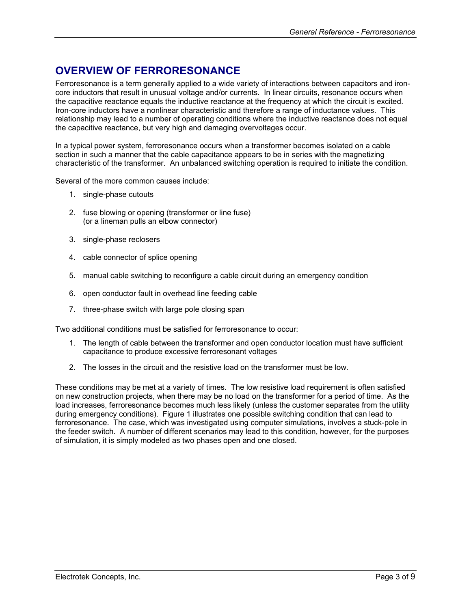# <span id="page-2-0"></span>**OVERVIEW OF FERRORESONANCE**

Ferroresonance is a term generally applied to a wide variety of interactions between capacitors and ironcore inductors that result in unusual voltage and/or currents. In linear circuits, resonance occurs when the capacitive reactance equals the inductive reactance at the frequency at which the circuit is excited. Iron-core inductors have a nonlinear characteristic and therefore a range of inductance values. This relationship may lead to a number of operating conditions where the inductive reactance does not equal the capacitive reactance, but very high and damaging overvoltages occur.

In a typical power system, ferroresonance occurs when a transformer becomes isolated on a cable section in such a manner that the cable capacitance appears to be in series with the magnetizing characteristic of the transformer. An unbalanced switching operation is required to initiate the condition.

Several of the more common causes include:

- 1. single-phase cutouts
- 2. fuse blowing or opening (transformer or line fuse) (or a lineman pulls an elbow connector)
- 3. single-phase reclosers
- 4. cable connector of splice opening
- 5. manual cable switching to reconfigure a cable circuit during an emergency condition
- 6. open conductor fault in overhead line feeding cable
- 7. three-phase switch with large pole closing span

Two additional conditions must be satisfied for ferroresonance to occur:

- 1. The length of cable between the transformer and open conductor location must have sufficient capacitance to produce excessive ferroresonant voltages
- 2. The losses in the circuit and the resistive load on the transformer must be low.

These conditions may be met at a variety of times. The low resistive load requirement is often satisfied on new construction projects, when there may be no load on the transformer for a period of time. As the load increases, ferroresonance becomes much less likely (unless the customer separates from the utility during emergency conditions). [Figure 1](#page-3-1) illustrates one possible switching condition that can lead to ferroresonance. The case, which was investigated using computer simulations, involves a stuck-pole in the feeder switch. A number of different scenarios may lead to this condition, however, for the purposes of simulation, it is simply modeled as two phases open and one closed.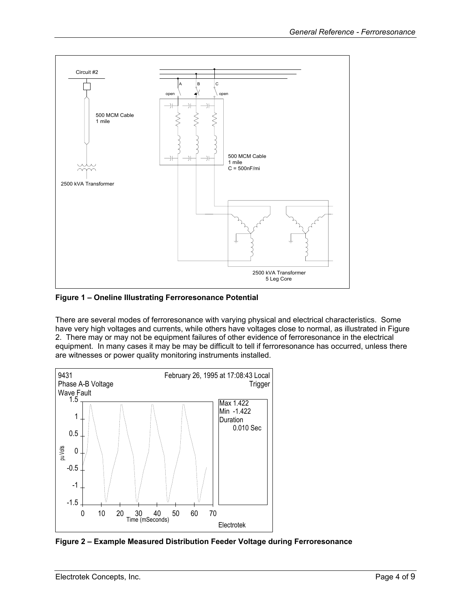<span id="page-3-1"></span><span id="page-3-0"></span>

**Figure 1 – Oneline Illustrating Ferroresonance Potential** 

There are several modes of ferroresonance with varying physical and electrical characteristics. Some have very high voltages and currents, while others have voltages close to normal, as illustrated in [Figure](#page-3-2)  [2.](#page-3-2) There may or may not be equipment failures of other evidence of ferroresonance in the electrical equipment. In many cases it may be may be difficult to tell if ferroresonance has occurred, unless there are witnesses or power quality monitoring instruments installed.

<span id="page-3-2"></span>

**Figure 2 – Example Measured Distribution Feeder Voltage during Ferroresonance**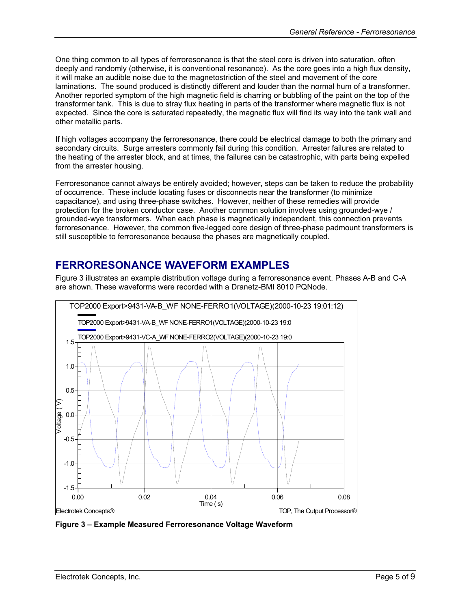<span id="page-4-0"></span>One thing common to all types of ferroresonance is that the steel core is driven into saturation, often deeply and randomly (otherwise, it is conventional resonance). As the core goes into a high flux density, it will make an audible noise due to the magnetostriction of the steel and movement of the core laminations. The sound produced is distinctly different and louder than the normal hum of a transformer. Another reported symptom of the high magnetic field is charring or bubbling of the paint on the top of the transformer tank. This is due to stray flux heating in parts of the transformer where magnetic flux is not expected. Since the core is saturated repeatedly, the magnetic flux will find its way into the tank wall and other metallic parts.

If high voltages accompany the ferroresonance, there could be electrical damage to both the primary and secondary circuits. Surge arresters commonly fail during this condition. Arrester failures are related to the heating of the arrester block, and at times, the failures can be catastrophic, with parts being expelled from the arrester housing.

Ferroresonance cannot always be entirely avoided; however, steps can be taken to reduce the probability of occurrence. These include locating fuses or disconnects near the transformer (to minimize capacitance), and using three-phase switches. However, neither of these remedies will provide protection for the broken conductor case. Another common solution involves using grounded-wye / grounded-wye transformers. When each phase is magnetically independent, this connection prevents ferroresonance. However, the common five-legged core design of three-phase padmount transformers is still susceptible to ferroresonance because the phases are magnetically coupled.

## **FERRORESONANCE WAVEFORM EXAMPLES**

[Figure 3](#page-4-1) illustrates an example distribution voltage during a ferroresonance event. Phases A-B and C-A are shown. These waveforms were recorded with a Dranetz-BMI 8010 PQNode.

<span id="page-4-1"></span>

**Figure 3 – Example Measured Ferroresonance Voltage Waveform**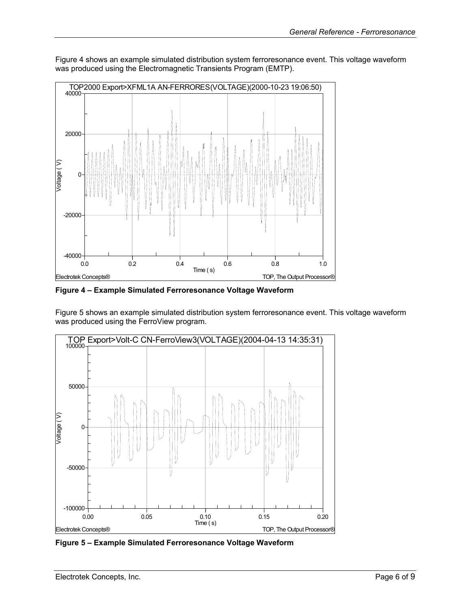<span id="page-5-0"></span>[Figure 4](#page-5-1) shows an example simulated distribution system ferroresonance event. This voltage waveform was produced using the Electromagnetic Transients Program (EMTP).

<span id="page-5-1"></span>

**Figure 4 – Example Simulated Ferroresonance Voltage Waveform** 

[Figure 5](#page-5-2) shows an example simulated distribution system ferroresonance event. This voltage waveform was produced using the FerroView program.

<span id="page-5-2"></span>

**Figure 5 – Example Simulated Ferroresonance Voltage Waveform**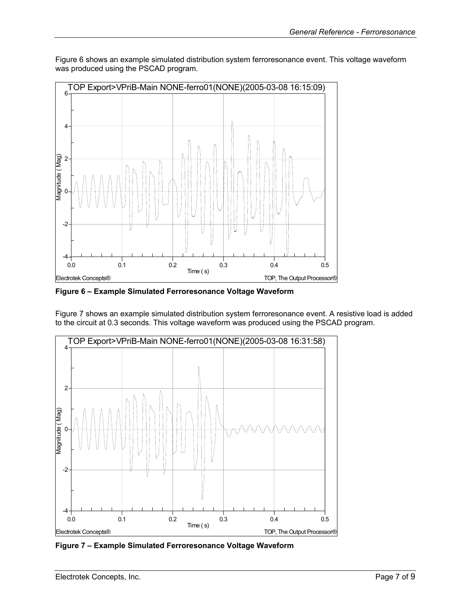<span id="page-6-1"></span>

<span id="page-6-0"></span>[Figure 6](#page-6-1) shows an example simulated distribution system ferroresonance event. This voltage waveform was produced using the PSCAD program.

**Figure 6 – Example Simulated Ferroresonance Voltage Waveform** 

[Figure 7](#page-6-2) shows an example simulated distribution system ferroresonance event. A resistive load is added to the circuit at 0.3 seconds. This voltage waveform was produced using the PSCAD program.

<span id="page-6-2"></span>

**Figure 7 – Example Simulated Ferroresonance Voltage Waveform**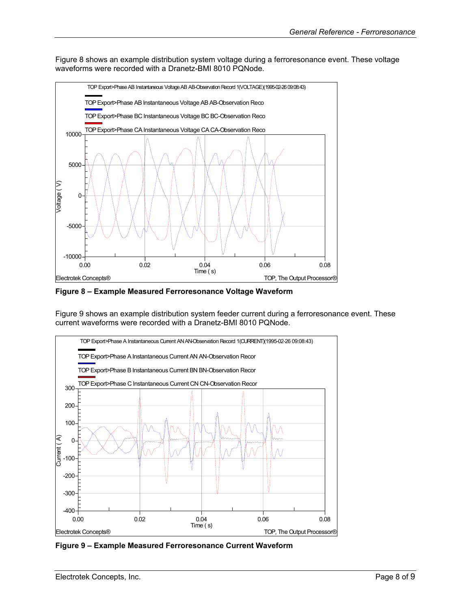<span id="page-7-0"></span>[Figure 8](#page-7-1) shows an example distribution system voltage during a ferroresonance event. These voltage waveforms were recorded with a Dranetz-BMI 8010 PQNode.

<span id="page-7-1"></span>

**Figure 8 – Example Measured Ferroresonance Voltage Waveform** 

[Figure 9](#page-7-2) shows an example distribution system feeder current during a ferroresonance event. These current waveforms were recorded with a Dranetz-BMI 8010 PQNode.

<span id="page-7-2"></span>

**Figure 9 – Example Measured Ferroresonance Current Waveform**